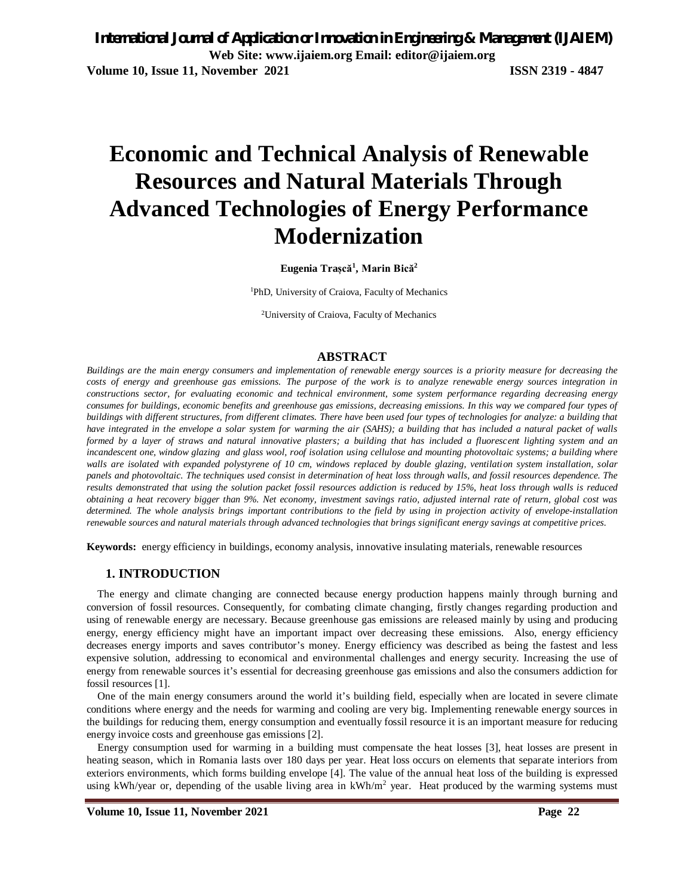*International Journal of Application or Innovation in Engineering & Management (IJAIEM)* **Web Site: www.ijaiem.org Email: editor@ijaiem.org Volume 10, Issue 11, November 2021 ISSN 2319 - 4847**

# **Economic and Technical Analysis of Renewable Resources and Natural Materials Through Advanced Technologies of Energy Performance Modernization**

**Eugenia Trașcă<sup>1</sup> , Marin Bică<sup>2</sup>**

<sup>1</sup>PhD, University of Craiova, Faculty of Mechanics

2University of Craiova, Faculty of Mechanics

#### **ABSTRACT**

*Buildings are the main energy consumers and implementation of renewable energy sources is a priority measure for decreasing the costs of energy and greenhouse gas emissions. The purpose of the work is to analyze renewable energy sources integration in constructions sector, for evaluating economic and technical environment, some system performance regarding decreasing energy consumes for buildings, economic benefits and greenhouse gas emissions, decreasing emissions. In this way we compared four types of buildings with different structures, from different climates. There have been used four types of technologies for analyze: a building that have integrated in the envelope a solar system for warming the air (SAHS); a building that has included a natural packet of walls formed by a layer of straws and natural innovative plasters; a building that has included a fluorescent lighting system and an*  incandescent one, window glazing and glass wool, roof isolation using cellulose and mounting photovoltaic systems; a building where *walls are isolated with expanded polystyrene of 10 cm, windows replaced by double glazing, ventilation system installation, solar panels and photovoltaic. The techniques used consist in determination of heat loss through walls, and fossil resources dependence. The results demonstrated that using the solution packet fossil resources addiction is reduced by 15%, heat loss through walls is reduced obtaining a heat recovery bigger than 9%. Net economy, investment savings ratio, adjusted internal rate of return, global cost was determined. The whole analysis brings important contributions to the field by using in projection activity of envelope-installation renewable sources and natural materials through advanced technologies that brings significant energy savings at competitive prices.* 

**Keywords:** energy efficiency in buildings, economy analysis, innovative insulating materials, renewable resources

#### **1. INTRODUCTION**

The energy and climate changing are connected because energy production happens mainly through burning and conversion of fossil resources. Consequently, for combating climate changing, firstly changes regarding production and using of renewable energy are necessary. Because greenhouse gas emissions are released mainly by using and producing energy, energy efficiency might have an important impact over decreasing these emissions. Also, energy efficiency decreases energy imports and saves contributor's money. Energy efficiency was described as being the fastest and less expensive solution, addressing to economical and environmental challenges and energy security. Increasing the use of energy from renewable sources it's essential for decreasing greenhouse gas emissions and also the consumers addiction for fossil resources [1].

One of the main energy consumers around the world it's building field, especially when are located in severe climate conditions where energy and the needs for warming and cooling are very big. Implementing renewable energy sources in the buildings for reducing them, energy consumption and eventually fossil resource it is an important measure for reducing energy invoice costs and greenhouse gas emissions [2].

Energy consumption used for warming in a building must compensate the heat losses [3], heat losses are present in heating season, which in Romania lasts over 180 days per year. Heat loss occurs on elements that separate interiors from exteriors environments, which forms building envelope [4]. The value of the annual heat loss of the building is expressed using kWh/year or, depending of the usable living area in kWh/m<sup>2</sup> year. Heat produced by the warming systems must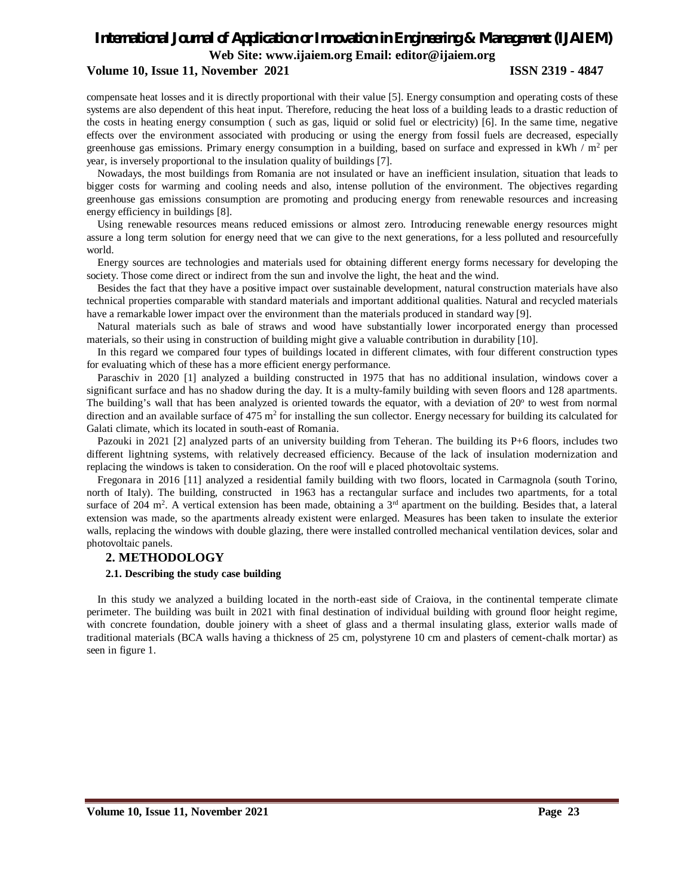#### **Volume 10, Issue 11, November 2021 ISSN 2319 - 4847**

compensate heat losses and it is directly proportional with their value [5]. Energy consumption and operating costs of these systems are also dependent of this heat input. Therefore, reducing the heat loss of a building leads to a drastic reduction of the costs in heating energy consumption ( such as gas, liquid or solid fuel or electricity) [6]. In the same time, negative effects over the environment associated with producing or using the energy from fossil fuels are decreased, especially greenhouse gas emissions. Primary energy consumption in a building, based on surface and expressed in kWh  $/$  m<sup>2</sup> per year, is inversely proportional to the insulation quality of buildings [7].

Nowadays, the most buildings from Romania are not insulated or have an inefficient insulation, situation that leads to bigger costs for warming and cooling needs and also, intense pollution of the environment. The objectives regarding greenhouse gas emissions consumption are promoting and producing energy from renewable resources and increasing energy efficiency in buildings [8].

Using renewable resources means reduced emissions or almost zero. Introducing renewable energy resources might assure a long term solution for energy need that we can give to the next generations, for a less polluted and resourcefully world.

Energy sources are technologies and materials used for obtaining different energy forms necessary for developing the society. Those come direct or indirect from the sun and involve the light, the heat and the wind.

Besides the fact that they have a positive impact over sustainable development, natural construction materials have also technical properties comparable with standard materials and important additional qualities. Natural and recycled materials have a remarkable lower impact over the environment than the materials produced in standard way [9].

Natural materials such as bale of straws and wood have substantially lower incorporated energy than processed materials, so their using in construction of building might give a valuable contribution in durability [10].

In this regard we compared four types of buildings located in different climates, with four different construction types for evaluating which of these has a more efficient energy performance.

Paraschiv in 2020 [1] analyzed a building constructed in 1975 that has no additional insulation, windows cover a significant surface and has no shadow during the day. It is a multy-family building with seven floors and 128 apartments. The building's wall that has been analyzed is oriented towards the equator, with a deviation of  $20^{\circ}$  to west from normal direction and an available surface of  $475 \text{ m}^2$  for installing the sun collector. Energy necessary for building its calculated for Galati climate, which its located in south-east of Romania.

Pazouki in 2021 [2] analyzed parts of an university building from Teheran. The building its P+6 floors, includes two different lightning systems, with relatively decreased efficiency. Because of the lack of insulation modernization and replacing the windows is taken to consideration. On the roof will e placed photovoltaic systems.

Fregonara in 2016 [11] analyzed a residential family building with two floors, located in Carmagnola (south Torino, north of Italy). The building, constructed in 1963 has a rectangular surface and includes two apartments, for a total surface of 204 m<sup>2</sup>. A vertical extension has been made, obtaining a  $3<sup>rd</sup>$  apartment on the building. Besides that, a lateral extension was made, so the apartments already existent were enlarged. Measures has been taken to insulate the exterior walls, replacing the windows with double glazing, there were installed controlled mechanical ventilation devices, solar and photovoltaic panels.

# **2. METHODOLOGY**

## **2.1. Describing the study case building**

In this study we analyzed a building located in the north-east side of Craiova, in the continental temperate climate perimeter. The building was built in 2021 with final destination of individual building with ground floor height regime, with concrete foundation, double joinery with a sheet of glass and a thermal insulating glass, exterior walls made of traditional materials (BCA walls having a thickness of 25 cm, polystyrene 10 cm and plasters of cement-chalk mortar) as seen in figure 1.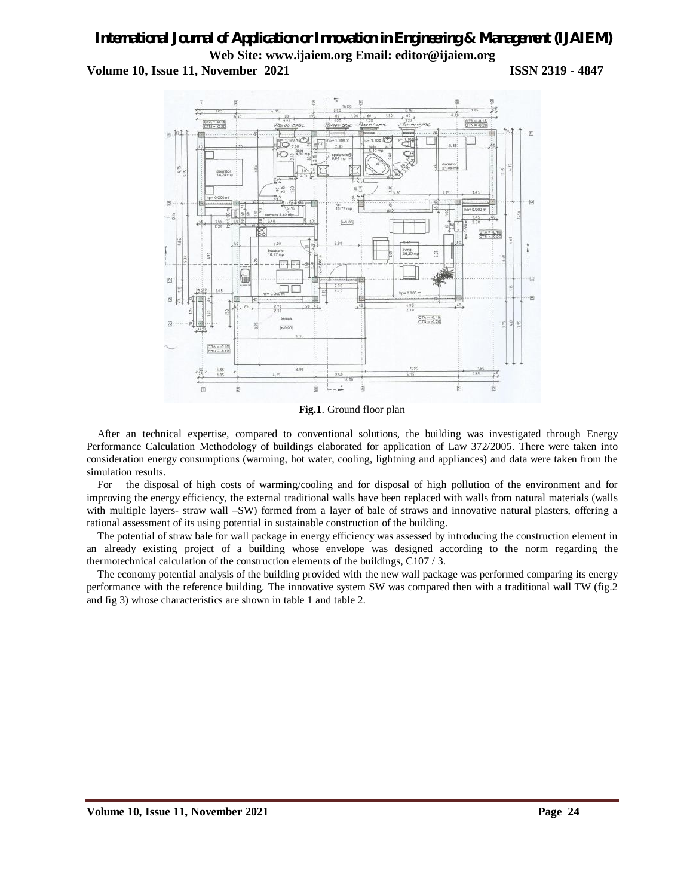# *International Journal of Application or Innovation in Engineering & Management (IJAIEM)* **Web Site: www.ijaiem.org Email: editor@ijaiem.org Volume 10, Issue 11, November 2021 ISSN 2319 - 4847**



**Fig.1**. Ground floor plan

After an technical expertise, compared to conventional solutions, the building was investigated through Energy Performance Calculation Methodology of buildings elaborated for application of Law 372/2005. There were taken into consideration energy consumptions (warming, hot water, cooling, lightning and appliances) and data were taken from the simulation results.

For the disposal of high costs of warming/cooling and for disposal of high pollution of the environment and for improving the energy efficiency, the external traditional walls have been replaced with walls from natural materials (walls with multiple layers- straw wall –SW) formed from a layer of bale of straws and innovative natural plasters, offering a rational assessment of its using potential in sustainable construction of the building.

The potential of straw bale for wall package in energy efficiency was assessed by introducing the construction element in an already existing project of a building whose envelope was designed according to the norm regarding the thermotechnical calculation of the construction elements of the buildings, C107 / 3.

The economy potential analysis of the building provided with the new wall package was performed comparing its energy performance with the reference building. The innovative system SW was compared then with a traditional wall TW (fig.2 and fig 3) whose characteristics are shown in table 1 and table 2.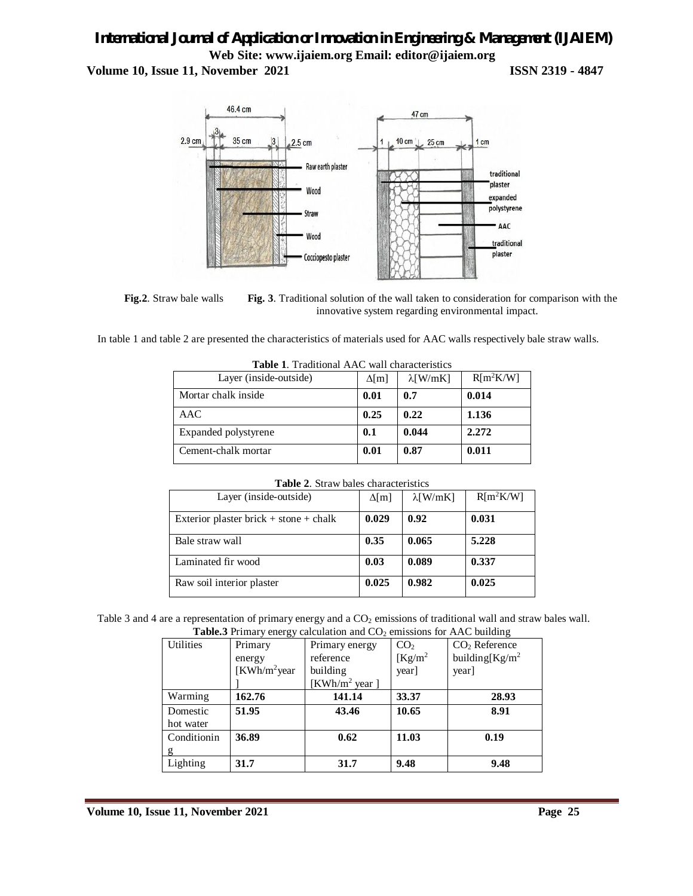**Volume 10, Issue 11, November 2021 ISSN 2319 - 4847** 



**Fig.2**. Straw bale walls **Fig. 3**. Traditional solution of the wall taken to consideration for comparison with the innovative system regarding environmental impact.

In table 1 and table 2 are presented the characteristics of materials used for AAC walls respectively bale straw walls.

| <b>Table 1.</b> Traditional AAC wall characteristics |              |                  |             |  |
|------------------------------------------------------|--------------|------------------|-------------|--|
| Layer (inside-outside)                               | $\Delta$ [m] | $\lambda$ [W/mK] | $R[m^2K/W]$ |  |
| Mortar chalk inside                                  | 0.01         | 0.7              | 0.014       |  |
| AAC                                                  | 0.25         | 0.22             | 1.136       |  |
| Expanded polystyrene                                 | 0.1          | 0.044            | 2.272       |  |
| Cement-chalk mortar                                  | 0.01         | 0.87             | 0.011       |  |

| <b>Table 1.</b> Traditional AAC wall characteristics |
|------------------------------------------------------|
|                                                      |

| <b>Table 2.</b> Straw bales characteristics |  |  |
|---------------------------------------------|--|--|
|                                             |  |  |

| Layer (inside-outside)                 | $\Delta[m]$ | $\lambda$ [W/mK] | $R[m^2K/W]$ |
|----------------------------------------|-------------|------------------|-------------|
| Exterior plaster brick + stone + chalk | 0.029       | 0.92             | 0.031       |
| Bale straw wall                        | 0.35        | 0.065            | 5.228       |
| Laminated fir wood                     | 0.03        | 0.089            | 0.337       |
| Raw soil interior plaster              | 0.025       | 0.982            | 0.025       |

Table 3 and 4 are a representation of primary energy and a CO<sub>2</sub> emissions of traditional wall and straw bales wall. **Table.3** Primary energy calculation and  $CO<sub>2</sub>$  emissions for AAC building

|                  | <b>Eable.</b> Figures 1 in a percept value of the and $\cup$ $\cup$ 2 consistents for AAC building |                           |                 |                   |
|------------------|----------------------------------------------------------------------------------------------------|---------------------------|-----------------|-------------------|
| <b>Utilities</b> | Primary                                                                                            | Primary energy            | CO <sub>2</sub> | $CO2$ Reference   |
|                  | energy                                                                                             | reference                 | $Kg/m^2$        | building $Kg/m^2$ |
|                  | $KWh/m^2$ year                                                                                     | building                  | year]           | year]             |
|                  |                                                                                                    | [KWh/m <sup>2</sup> year] |                 |                   |
| Warming          | 162.76                                                                                             | 141.14                    | 33.37           | 28.93             |
| Domestic         | 51.95                                                                                              | 43.46                     | 10.65           | 8.91              |
| hot water        |                                                                                                    |                           |                 |                   |
| Conditionin      | 36.89                                                                                              | 0.62                      | 11.03           | 0.19              |
|                  |                                                                                                    |                           |                 |                   |
| Lighting         | 31.7                                                                                               | 31.7                      | 9.48            | 9.48              |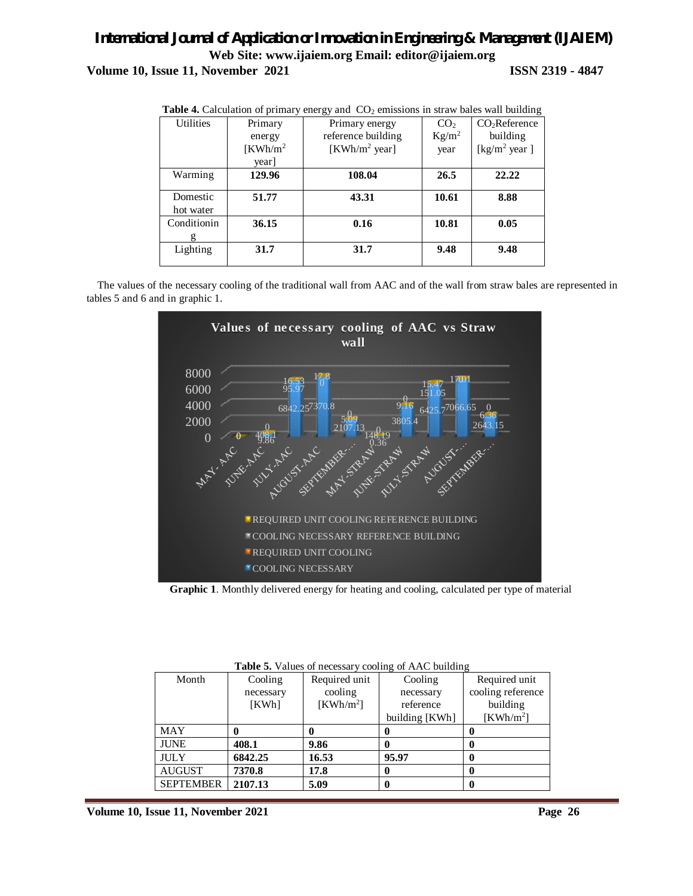|                  | <b>Table 4.</b> Calculation of primary energy and CO <sub>2</sub> emissions in straw pares wan bunding |                           |                 |                           |
|------------------|--------------------------------------------------------------------------------------------------------|---------------------------|-----------------|---------------------------|
| <b>Utilities</b> | Primary                                                                                                | Primary energy            | CO <sub>2</sub> | CO <sub>2</sub> Reference |
|                  | energy                                                                                                 | reference building        | $Kg/m^2$        | building                  |
|                  | $KWh/m^2$                                                                                              | [KWh/m <sup>2</sup> year] | year            | [ $\text{kg/m}^2$ year]   |
|                  | year]                                                                                                  |                           |                 |                           |
| Warming          | 129.96                                                                                                 | 108.04                    | 26.5            | 22.22                     |
| Domestic         | 51.77                                                                                                  | 43.31                     | 10.61           | 8.88                      |
| hot water        |                                                                                                        |                           |                 |                           |
| Conditionin      | 36.15                                                                                                  | 0.16                      | 10.81           | 0.05                      |
| g                |                                                                                                        |                           |                 |                           |
| Lighting         | 31.7                                                                                                   | 31.7                      | 9.48            | 9.48                      |
|                  |                                                                                                        |                           |                 |                           |

**Table 4.** Calculation of primary energy and CO<sup>2</sup> emissions in straw bales wall building

The values of the necessary cooling of the traditional wall from AAC and of the wall from straw bales are represented in tables 5 and 6 and in graphic 1.



**Graphic 1**. Monthly delivered energy for heating and cooling, calculated per type of material

|                  |           |               | <b>Table 5.</b> Values of hecessary cooling of TVTC building |                   |
|------------------|-----------|---------------|--------------------------------------------------------------|-------------------|
| Month            | Cooling   | Required unit | Cooling                                                      | Required unit     |
|                  | necessary | cooling       | necessary                                                    | cooling reference |
|                  | KWh       | $KWh/m^2$     | reference                                                    | building          |
|                  |           |               | building [KWh]                                               | $KWh/m^2$         |
| <b>MAY</b>       |           |               |                                                              |                   |
| <b>JUNE</b>      | 408.1     | 9.86          |                                                              |                   |
| <b>JULY</b>      | 6842.25   | 16.53         | 95.97                                                        |                   |
| <b>AUGUST</b>    | 7370.8    | 17.8          |                                                              |                   |
| <b>SEPTEMBER</b> | 2107.13   | 5.09          |                                                              |                   |

**Table 5.** Values of necessary cooling of AAC building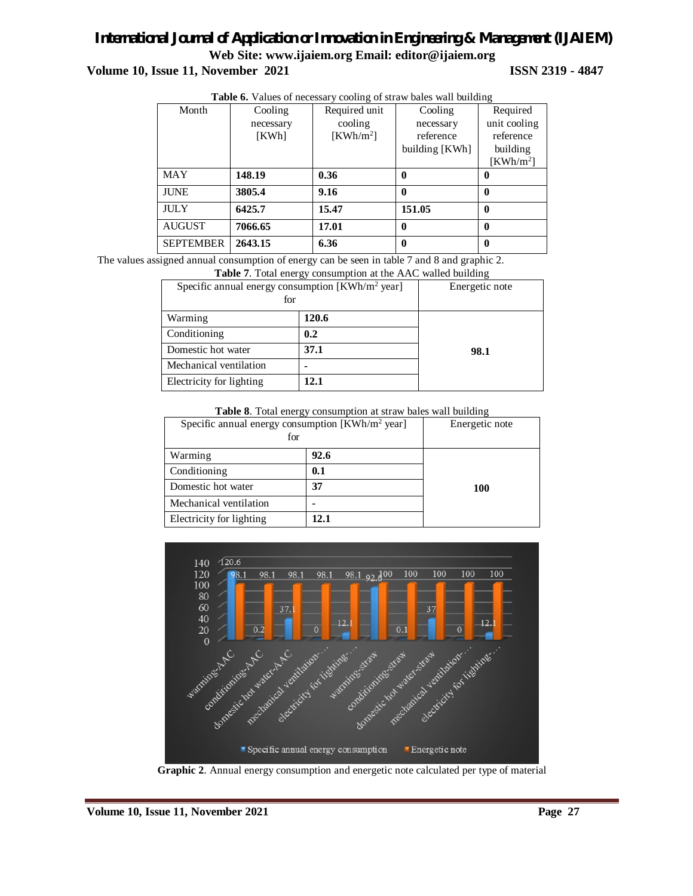**Volume 10, Issue 11, November 2021 ISSN 2319 - 4847**

|                  | <b>Table 6.</b> Values of necessary cooling of straw bales wall building |               |                |              |  |
|------------------|--------------------------------------------------------------------------|---------------|----------------|--------------|--|
| Month            | Cooling                                                                  | Required unit | Cooling        | Required     |  |
|                  | necessary                                                                | cooling       | necessary      | unit cooling |  |
|                  | [KWh]                                                                    | $KWh/m^2$     | reference      | reference    |  |
|                  |                                                                          |               | building [KWh] | building     |  |
|                  |                                                                          |               |                | $KWh/m^2$    |  |
| <b>MAY</b>       | 148.19                                                                   | 0.36          | 0              | 0            |  |
| <b>JUNE</b>      | 3805.4                                                                   | 9.16          | 0              | 0            |  |
| <b>JULY</b>      | 6425.7                                                                   | 15.47         | 151.05         | 0            |  |
| <b>AUGUST</b>    | 7066.65                                                                  | 17.01         | 0              | 0            |  |
| <b>SEPTEMBER</b> | 2643.15                                                                  | 6.36          | 0              | 0            |  |

**Table 6.** Values of necessary cooling of straw bales wall building

The values assigned annual consumption of energy can be seen in table 7 and 8 and graphic 2.

| <b>Table 7.</b> Total energy consumption at the AAC walled building |       |                |  |  |
|---------------------------------------------------------------------|-------|----------------|--|--|
| Specific annual energy consumption $[KWh/m^2$ year]<br>for          |       | Energetic note |  |  |
| Warming                                                             | 120.6 |                |  |  |
| Conditioning                                                        | 0.2   |                |  |  |
| Domestic hot water                                                  | 37.1  | 98.1           |  |  |
| Mechanical ventilation                                              |       |                |  |  |
| Electricity for lighting                                            | 12.1  |                |  |  |

**Table 8**. Total energy consumption at straw bales wall building

| Specific annual energy consumption $[KWh/m^2$ year]<br>for |      | Energetic note |
|------------------------------------------------------------|------|----------------|
| Warming                                                    | 92.6 |                |
| Conditioning                                               | 0.1  |                |
| Domestic hot water                                         | 37   | 100            |
| Mechanical ventilation                                     |      |                |
| Electricity for lighting                                   | 12.1 |                |



**Graphic 2**. Annual energy consumption and energetic note calculated per type of material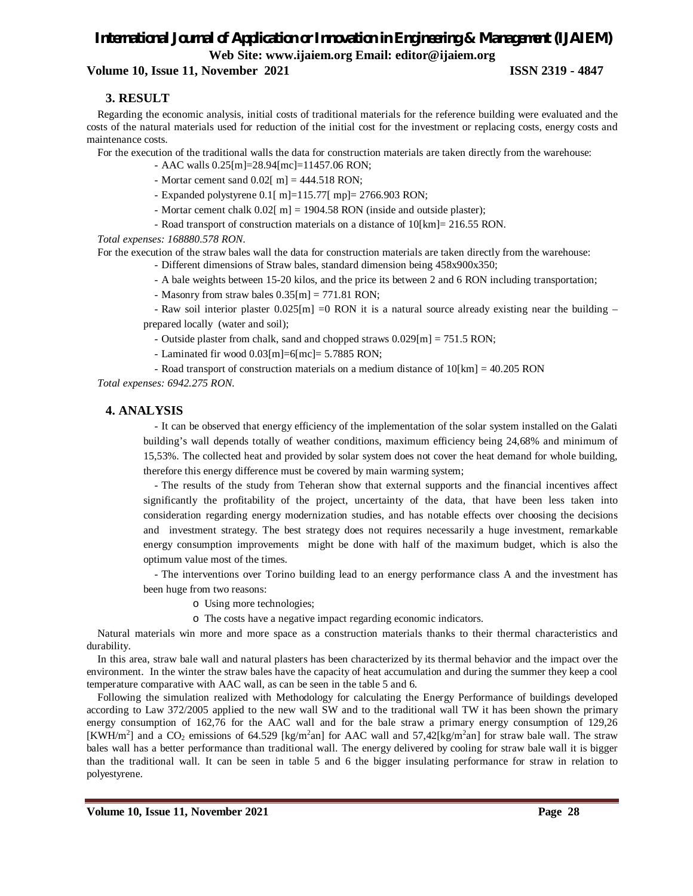#### **Volume 10, Issue 11, November 2021 ISSN 2319 - 4847**

#### **3. RESULT**

Regarding the economic analysis, initial costs of traditional materials for the reference building were evaluated and the costs of the natural materials used for reduction of the initial cost for the investment or replacing costs, energy costs and maintenance costs.

For the execution of the traditional walls the data for construction materials are taken directly from the warehouse:

- AAC walls 0.25[m]=28.94[mc]=11457.06 RON;
- Mortar cement sand  $0.02$ [ m] = 444.518 RON;
- Expanded polystyrene 0.1[ m]=115.77[ mp]= 2766.903 RON;
- Mortar cement chalk 0.02[ m] = 1904.58 RON (inside and outside plaster);
- Road transport of construction materials on a distance of 10[km]= 216.55 RON.

*Total expenses: 168880.578 RON.*

For the execution of the straw bales wall the data for construction materials are taken directly from the warehouse:

- Different dimensions of Straw bales, standard dimension being 458x900x350;

- A bale weights between 15-20 kilos, and the price its between 2 and 6 RON including transportation;
- Masonry from straw bales 0.35[m] = 771.81 RON;

- Raw soil interior plaster  $0.025[m] = 0$  RON it is a natural source already existing near the building – prepared locally (water and soil);

- Outside plaster from chalk, sand and chopped straws 0.029[m] = 751.5 RON;

- Laminated fir wood 0.03[m]=6[mc]= 5.7885 RON;

- Road transport of construction materials on a medium distance of 10[km] = 40.205 RON

*Total expenses: 6942.275 RON.*

## **4. ANALYSIS**

- It can be observed that energy efficiency of the implementation of the solar system installed on the Galati building's wall depends totally of weather conditions, maximum efficiency being 24,68% and minimum of 15,53%. The collected heat and provided by solar system does not cover the heat demand for whole building, therefore this energy difference must be covered by main warming system;

- The results of the study from Teheran show that external supports and the financial incentives affect significantly the profitability of the project, uncertainty of the data, that have been less taken into consideration regarding energy modernization studies, and has notable effects over choosing the decisions and investment strategy. The best strategy does not requires necessarily a huge investment, remarkable energy consumption improvements might be done with half of the maximum budget, which is also the optimum value most of the times.

- The interventions over Torino building lead to an energy performance class A and the investment has been huge from two reasons:

- o Using more technologies;
- o The costs have a negative impact regarding economic indicators.

Natural materials win more and more space as a construction materials thanks to their thermal characteristics and durability.

In this area, straw bale wall and natural plasters has been characterized by its thermal behavior and the impact over the environment. In the winter the straw bales have the capacity of heat accumulation and during the summer they keep a cool temperature comparative with AAC wall, as can be seen in the table 5 and 6.

Following the simulation realized with Methodology for calculating the Energy Performance of buildings developed according to Law 372/2005 applied to the new wall SW and to the traditional wall TW it has been shown the primary energy consumption of 162,76 for the AAC wall and for the bale straw a primary energy consumption of 129,26 [KWH/m<sup>2</sup>] and a CO<sub>2</sub> emissions of 64.529 [kg/m<sup>2</sup>an] for AAC wall and 57,42[kg/m<sup>2</sup>an] for straw bale wall. The straw bales wall has a better performance than traditional wall. The energy delivered by cooling for straw bale wall it is bigger than the traditional wall. It can be seen in table 5 and 6 the bigger insulating performance for straw in relation to polyestyrene.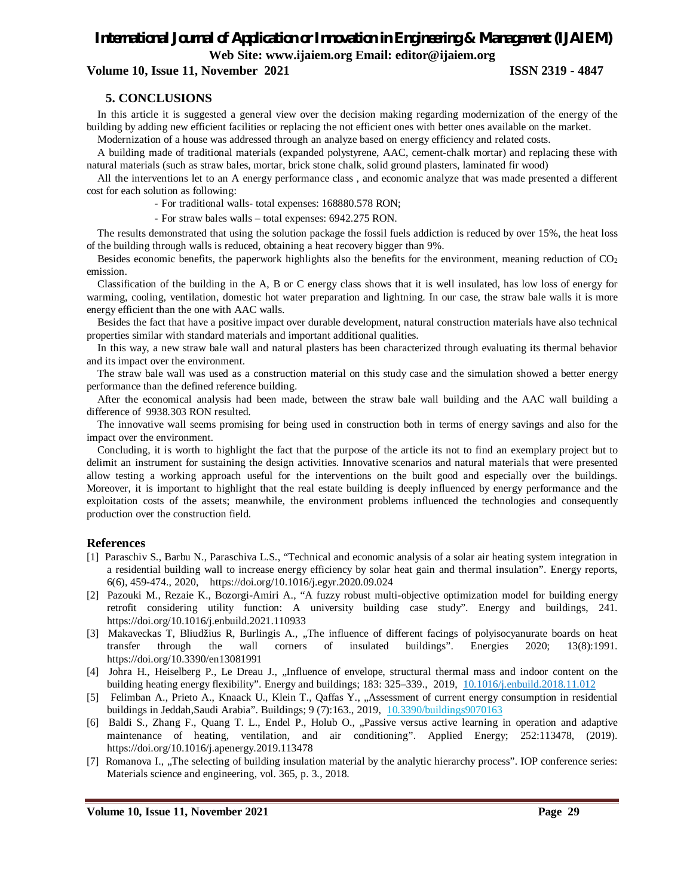**Volume 10, Issue 11, November 2021 ISSN 2319 - 4847**

#### **5. CONCLUSIONS**

In this article it is suggested a general view over the decision making regarding modernization of the energy of the building by adding new efficient facilities or replacing the not efficient ones with better ones available on the market.

Modernization of a house was addressed through an analyze based on energy efficiency and related costs.

A building made of traditional materials (expanded polystyrene, AAC, cement-chalk mortar) and replacing these with natural materials (such as straw bales, mortar, brick stone chalk, solid ground plasters, laminated fir wood)

All the interventions let to an A energy performance class , and economic analyze that was made presented a different cost for each solution as following:

- For traditional walls- total expenses: 168880.578 RON;

- For straw bales walls – total expenses: 6942.275 RON.

The results demonstrated that using the solution package the fossil fuels addiction is reduced by over 15%, the heat loss of the building through walls is reduced, obtaining a heat recovery bigger than 9%.

Besides economic benefits, the paperwork highlights also the benefits for the environment, meaning reduction of  $CO<sub>2</sub>$ emission.

Classification of the building in the A, B or C energy class shows that it is well insulated, has low loss of energy for warming, cooling, ventilation, domestic hot water preparation and lightning. In our case, the straw bale walls it is more energy efficient than the one with AAC walls.

Besides the fact that have a positive impact over durable development, natural construction materials have also technical properties similar with standard materials and important additional qualities.

In this way, a new straw bale wall and natural plasters has been characterized through evaluating its thermal behavior and its impact over the environment.

The straw bale wall was used as a construction material on this study case and the simulation showed a better energy performance than the defined reference building.

After the economical analysis had been made, between the straw bale wall building and the AAC wall building a difference of 9938.303 RON resulted.

The innovative wall seems promising for being used in construction both in terms of energy savings and also for the impact over the environment.

Concluding, it is worth to highlight the fact that the purpose of the article its not to find an exemplary project but to delimit an instrument for sustaining the design activities. Innovative scenarios and natural materials that were presented allow testing a working approach useful for the interventions on the built good and especially over the buildings. Moreover, it is important to highlight that the real estate building is deeply influenced by energy performance and the exploitation costs of the assets; meanwhile, the environment problems influenced the technologies and consequently production over the construction field.

#### **References**

- [1] Paraschiv S., Barbu N., Paraschiva L.S., "Technical and economic analysis of a solar air heating system integration in a residential building wall to increase energy efficiency by solar heat gain and thermal insulation". Energy reports, 6(6), 459-474., 2020, https://doi.org/10.1016/j.egyr.2020.09.024
- [2] Pazouki M., Rezaie K., Bozorgi-Amiri A., "A fuzzy robust multi-objective optimization model for building energy retrofit considering utility function: A university building case study". Energy and buildings, 241. https://doi.org/10.1016/j.enbuild.2021.110933
- [3] Makaveckas T, Bliudžius R, Burlingis A., "The influence of different facings of polyisocyanurate boards on heat transfer through the wall corners of insulated buildings". Energies 2020; 13(8):1991. https://doi.org/10.3390/en13081991
- [4] Johra H., Heiselberg P., Le Dreau J., "Influence of envelope, structural thermal mass and indoor content on the building heating energy flexibility". Energy and buildings; 183: 325–339., 2019, 10.1016/j.enbuild.2018.11.012
- [5] Felimban A., Prieto A., Knaack U., Klein T., Qaffas Y., "Assessment of current energy consumption in residential buildings in Jeddah,Saudi Arabia". Buildings; 9 (7):163., 2019, 10.3390/buildings9070163
- [6] Baldi S., Zhang F., Quang T. L., Endel P., Holub O., "Passive versus active learning in operation and adaptive maintenance of heating, ventilation, and air conditioning". Applied Energy; 252:113478, (2019). https://doi.org/10.1016/j.apenergy.2019.113478
- [7] Romanova I., "The selecting of building insulation material by the analytic hierarchy process". IOP conference series: Materials science and engineering, vol. 365, p. 3., 2018.